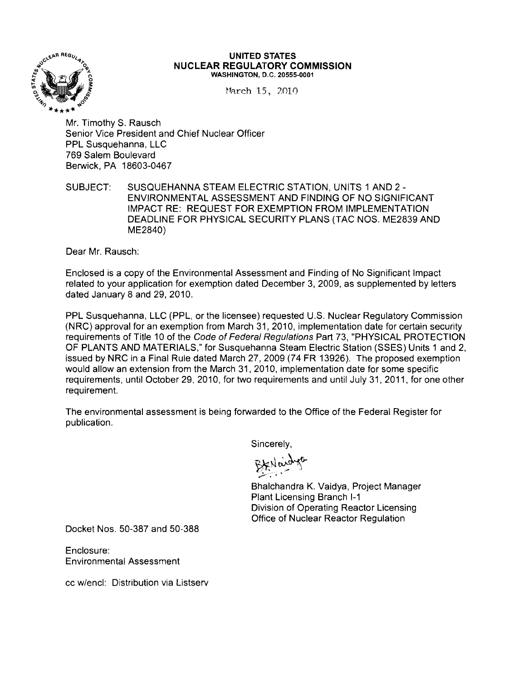

#### **UNITED STATES NUCLEAR REGULATORY COMMISSION** WASHINGTON, D.C. 20555-0001

March 15, 2010

Mr. Timothy S. Rausch Senior Vice President and Chief Nuclear Officer PPL Susquehanna, LLC 769 Salem Boulevard Berwick, PA 18603-0467

SUBJECT: SUSQUEHANNA STEAM ELECTRIC STATION, UNITS 1 AND 2 -ENVIRONMENTAL ASSESSMENT AND FINDING OF NO SIGNIFICANT IMPACT RE: REQUEST FOR EXEMPTION FROM IMPLEMENTATION DEADLINE FOR PHYSICAL SECURITY PLANS (TAC NOS. ME2839 AND ME2840)

Dear Mr. Rausch:

Enclosed is a copy of the Environmental Assessment and Finding of No Significant Impact related to your application for exemption dated December 3, 2009, as supplemented by letters dated January 8 and 29, 2010.

PPL Susquehanna, LLC (PPL, or the licensee) requested U.S. Nuclear Regulatory Commission (NRC) approval for an exemption from March 31,2010, implementation date for certain security requirements of Title 10 of the Code of Federal Regulations Part 73, "PHYSICAL PROTECTION OF PLANTS AND MATERIALS," for Susquehanna Steam Electric Station (SSES) Units 1 and 2, issued by NRC in a Final Rule dated March 27, 2009 (74 FR 13926). The proposed exemption would allow an extension from the March 31,2010, implementation date for some specific requirements, until October 29, 2010, for two requirements and until July 31, 2011, for one other requirement.

The environmental assessment is being forwarded to the Office of the Federal Register for publication.

Sincerely,

 $B$ kyang $A_{c}$  $\sum_{i=1}^n$ 

Bhalchandra K. Vaidya, Project Manager Plant Licensing Branch 1-1 Division of Operating Reactor Licensing Office of Nuclear Reactor Regulation

Docket Nos. 50-387 and 50-388

Enclosure: Environmental Assessment

cc w/encl: Distribution via Listserv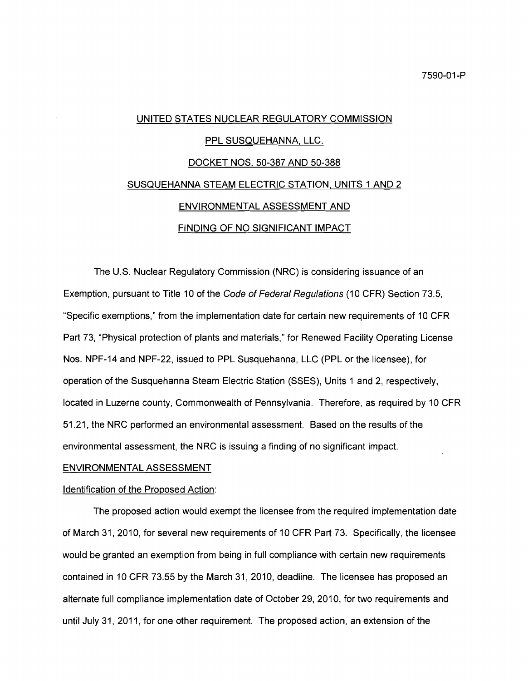# UNITED STATES NUCLEAR REGULATORY COMMISSION <u>PPL SUSQUEHANNA, LLC.</u> DOCKET NOS. 50-387 AND 50-388 SUSQUEHANNA STEAM ELECTRIC STATION, UNITS 1 AND 2 ENVIRONMENTAL ASSESSMENT AND FINDING OF NO SIGNIFICANT IMPACT

The U.S. Nuclear Regulatory Commission (NRC) is considering issuance of an Exemption, pursuant to Title 10 of the Code of Federal Regulations (10 CFR) Section 73.5, "Specific exemptions," from the implementation date for certain new requirements of 10 CFR Part 73, "Physical protection of plants and materials," for Renewed Facility Operating License Nos. NPF-14 and NPF-22, issued to PPL Susquehanna, LLC (PPL or the licensee), for operation of the Susquehanna Steam Electric Station (SSES), Units 1 and 2, respectively, located in Luzerne county, Commonwealth of Pennsylvania. Therefore, as required by 10 CFR 51.21, the NRC performed an environmental assessment. Based on the results of the environmental assessment, the NRC is issuing a finding of no significant impact.

#### ENVIRONMENTAL ASSESSMENT

#### Identification of the Proposed Action:

The proposed action would exempt the licensee from the required implementation date of March 31, 2010, for several new requirements of 10 CFR Part 73. Specifically, the licensee would be granted an exemption from being in full compliance with certain new requirements contained in 10 CFR 73.55 by the March 31,2010, deadline. The licensee has proposed an alternate full compliance implementation date of October 29, 2010, for two requirements and until July 31, 2011, for one other requirement. The proposed action, an extension of the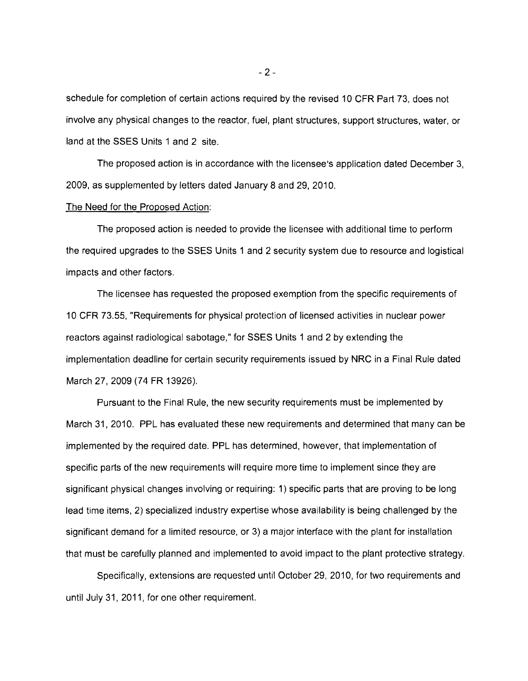schedule for completion of certain actions required by the revised 10 CFR Part 73, does not involve any physical changes to the reactor, fuel, plant structures, support structures, water, or land at the SSES Units 1 and 2 site.

The proposed action is in accordance with the licensee's application dated December 3, 2009, as supplemented by letters dated January 8 and 29, 2010.

## The Need for the Proposed Action:

The proposed action is needed to provide the licensee with additional time to perform the required upgrades to the SSES Units 1 and 2 security system due to resource and logistical impacts and other factors.

The licensee has requested the proposed exemption from the specific requirements of 10 CFR 73.55, "Requirements for physical protection of licensed activities in nuclear power reactors against radiological sabotage," for SSES Units 1 and 2 by extending the implementation deadline for certain security requirements issued by NRC in a Final Rule dated March 27, 2009 (74 FR 13926).

Pursuant to the Final Rule, the new security requirements must be implemented by March 31, 2010. PPL has evaluated these new requirements and determined that many can be implemented by the required date. PPL has determined, however, that implementation of specific parts of the new requirements will require more time to implement since they are significant physical changes involving or requiring: 1) specific parts that are proving to be long lead time items, 2) specialized industry expertise whose availability is being challenged by the significant demand for a limited resource, or 3) a major interface with the plant for installation that must be carefully planned and implemented to avoid impact to the plant protective strategy.

Specifically, extensions are requested until October 29, 2010, for two requirements and until July 31, 2011, for one other requirement.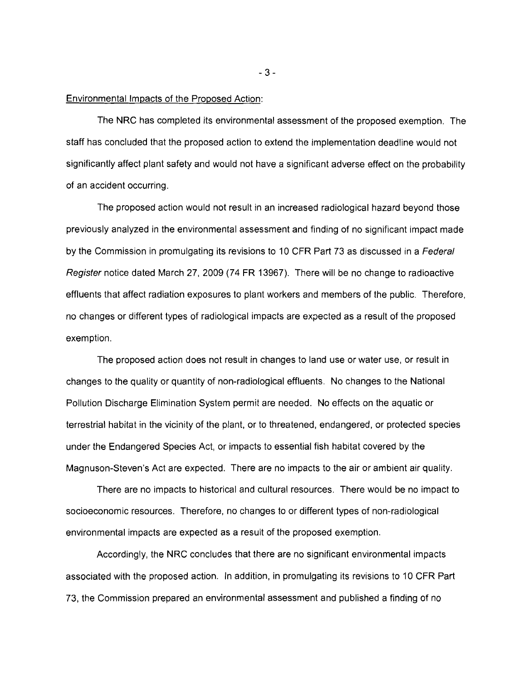#### Environmental Impacts of the Proposed Action:

The NRC has completed its environmental assessment of the proposed exemption. The staff has concluded that the proposed action to extend the implementation deadline would not significantly affect plant safety and would not have a significant adverse effect on the probability of an accident occurring.

The proposed action would not result in an increased radiological hazard beyond those previously analyzed in the environmental assessment and finding of no significant impact made by the Commission in promulgating its revisions to 10 CFR Part 73 as discussed in a Federal Register notice dated March 27, 2009 (74 FR 13967). There will be no change to radioactive effluents that affect radiation exposures to plant workers and members of the public. Therefore, no changes or different types of radiological impacts are expected as a result of the proposed exemption.

The proposed action does not result in changes to land use or water use, or result in changes to the quality or quantity of non-radiological effluents. No changes to the National Pollution Discharge Elimination System permit are needed. No effects on the aquatic or terrestrial habitat in the vicinity of the plant, or to threatened, endangered, or protected species under the Endangered Species Act, or impacts to essential fish habitat covered by the Magnuson-Steven's Act are expected. There are no impacts to the air or ambient air quality.

There are no impacts to historical and cultural resources. There would be no impact to socioeconomic resources. Therefore, no changes to or different types of non-radiological environmental impacts are expected as a result of the proposed exemption.

Accordingly, the NRC concludes that there are no significant environmental impacts associated with the proposed action. In addition, in promulgating its revisions to 10 CFR Part 73, the Commission prepared an environmental assessment and published a finding of no

 $-3-$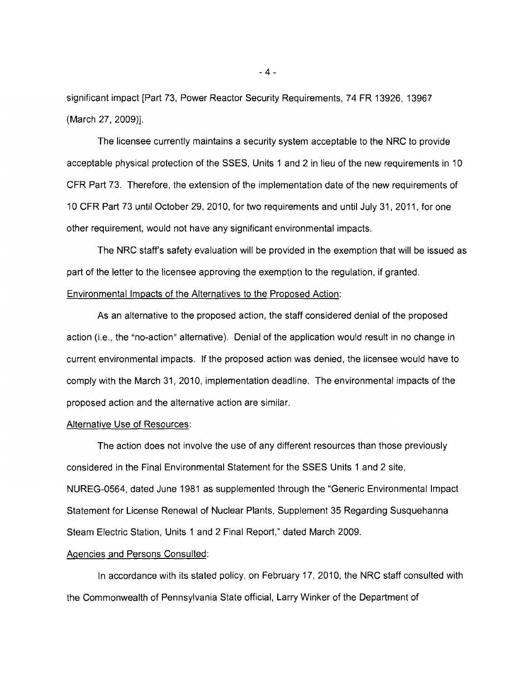significant impact [Part 73, Power Reactor Security Requirements, 74 FR 13926, 13967 (March 27, 2009)].

The licensee currently maintains a security system acceptable to the NRC to provide acceptable physical protection of the SSES, Units 1 and 2 in lieu of the new requirements in 10 CFR Part 73. Therefore, the extension of the implementation date of the new requirements of 10 CFR Part 73 until October 29, 2010, for two requirements and until July 31, 2011, for one other requirement, would not have any significant environmental impacts.

The NRC staff's safety evaluation will be provided in the exemption that will be issued as part of the letter to the licensee approving the exemption to the regulation, if granted. Environmental Impacts of the Alternatives to the Proposed Action:

As an alternative to the proposed action, the staff considered denial of the proposed action (i.e., the "no-action" alternative). Denial of the application would result in no change in current environmental impacts. If the proposed action was denied, the licensee would have to comply with the March 31, 2010, implementation deadline. The environmental impacts of the proposed action and the alternative action are similar.

## Alternative Use of Resources:

The action does not involve the use of any different resources than those previously considered in the Final Environmental Statement for the SSES Units 1 and 2 site, NUREG-0564, dated June 1981 as supplemented through the "Generic Environmental Impact Statement for License Renewal of Nuclear Plants, Supplement 35 Regarding Susquehanna Steam Electric Station, Units 1 and 2 Final Report," dated March 2009.

#### Agencies and Persons Consulted:

In accordance with its stated policy, on February 17, 2010, the NRC staff consulted with the Commonwealth of Pennsylvania State official, Larry Winker of the Department of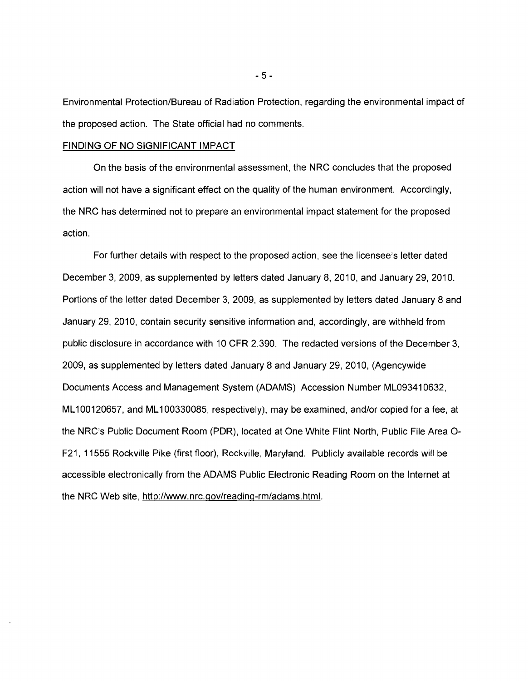Environmental Protection/Bureau of Radiation Protection, regarding the environmental impact of the proposed action. The State official had no comments.

## FINDING OF NO SIGNIFICANT IMPACT

On the basis of the environmental assessment, the NRC concludes that the proposed action will not have a significant effect on the quality of the human environment. Accordingly, the NRC has determined not to prepare an environmental impact statement for the proposed action.

For further details with respect to the proposed action, see the licensee's letter dated December 3, 2009, as supplemented by letters dated January 8, 2010, and January 29, 2010. Portions of the letter dated December 3, 2009, as supplemented by letters dated January 8 and January 29, 2010, contain security sensitive information and, accordingly, are withheld from public disclosure in accordance with 10 CFR 2.390. The redacted versions of the December 3, 2009, as supplemented by letters dated January 8 and January 29, 2010, (Agencywide Documents Access and Management System (ADAMS) Accession Number ML09341 0632, ML100120657, and ML100330085, respectively), may be examined, and/or copied for a fee, at the NRC's Public Document Room (PDR), located at One White Flint North, Public File Area 0 F21, 11555 Rockville Pike (first floor), Rockville, Maryland. Publicly available records will be accessible electronically from the ADAMS Public Electronic Reading Room on the Internet at the NRC Web site, http://www.nrc.gov/reading-rm/adams.html.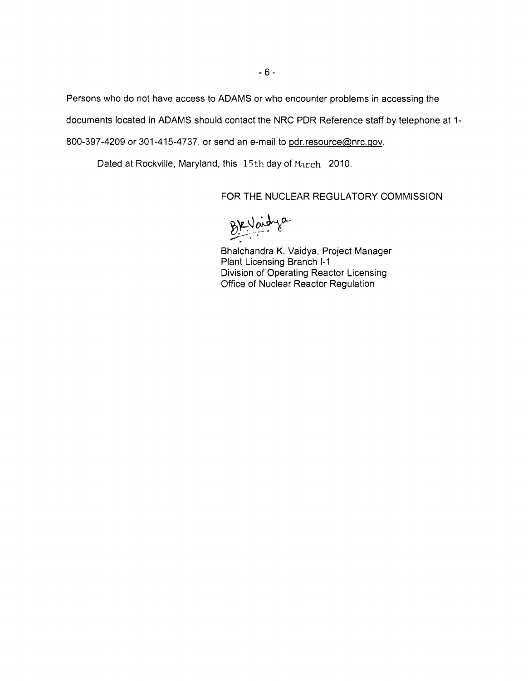Persons who do not have access to ADAMS or who encounter problems in accessing the

documents located in ADAMS should contact the NRC PDR Reference staff by telephone at 1

800-397-4209 or 301-415-4737, or send an e-mail to pdr.resource@nrc.gov.

Dated at Rockville, Maryland, this 15th day of March 2010.

FOR THE NUCLEAR REGULATORY COMMISSION

BKVardye

Bhalchandra K. Vaidya, Project Manager Plant Licensing Branch 1-1 Division of Operating Reactor Licensing Office of Nuclear Reactor Regulation